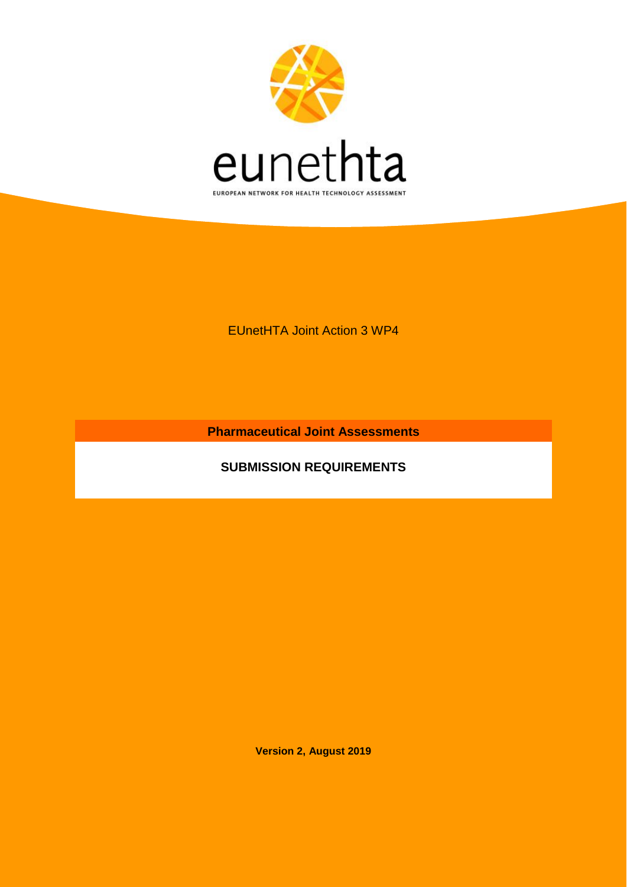

EUnetHTA Joint Action 3 WP4

**Pharmaceutical Joint Assessments** 

# **SUBMISSION REQUIREMENTS**

**Version 2, August 2019**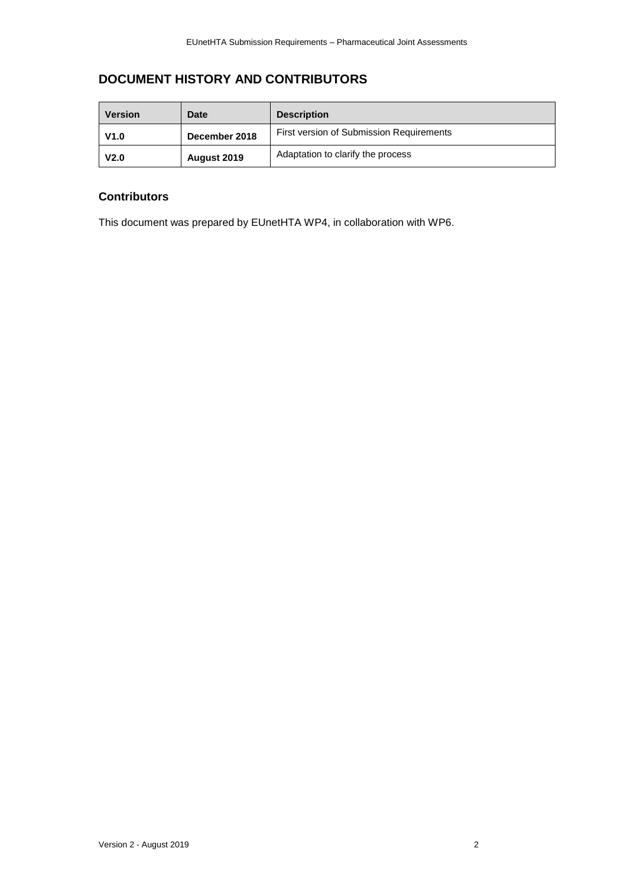## **DOCUMENT HISTORY AND CONTRIBUTORS**

| <b>Version</b>   | <b>Date</b>   | <b>Description</b>                       |
|------------------|---------------|------------------------------------------|
| V1.0             | December 2018 | First version of Submission Requirements |
| V <sub>2.0</sub> | August 2019   | Adaptation to clarify the process        |

#### **Contributors**

This document was prepared by EUnetHTA WP4, in collaboration with WP6.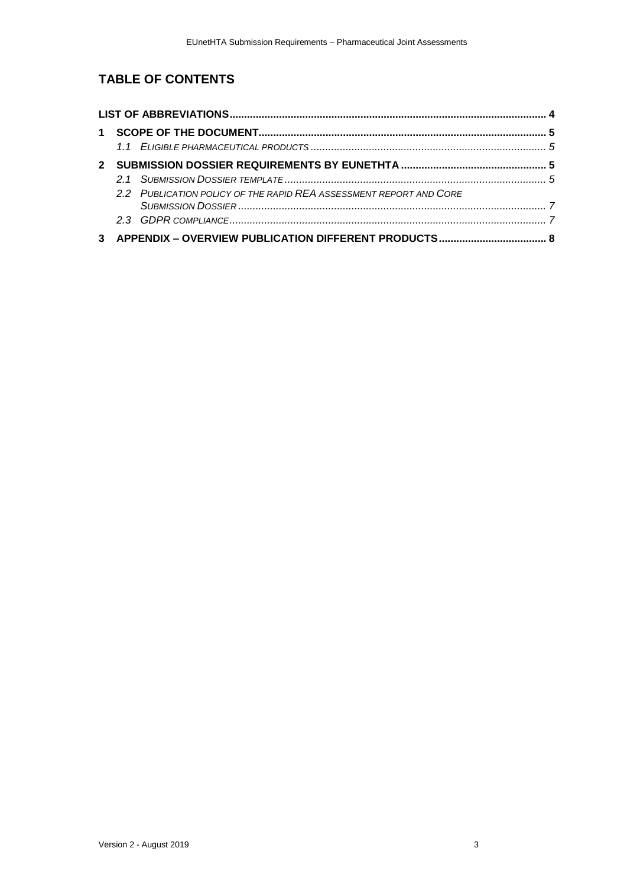# **TABLE OF CONTENTS**

|  | 2.2 PUBLICATION POLICY OF THE RAPID REA ASSESSMENT REPORT AND CORE |  |
|--|--------------------------------------------------------------------|--|
|  |                                                                    |  |
|  |                                                                    |  |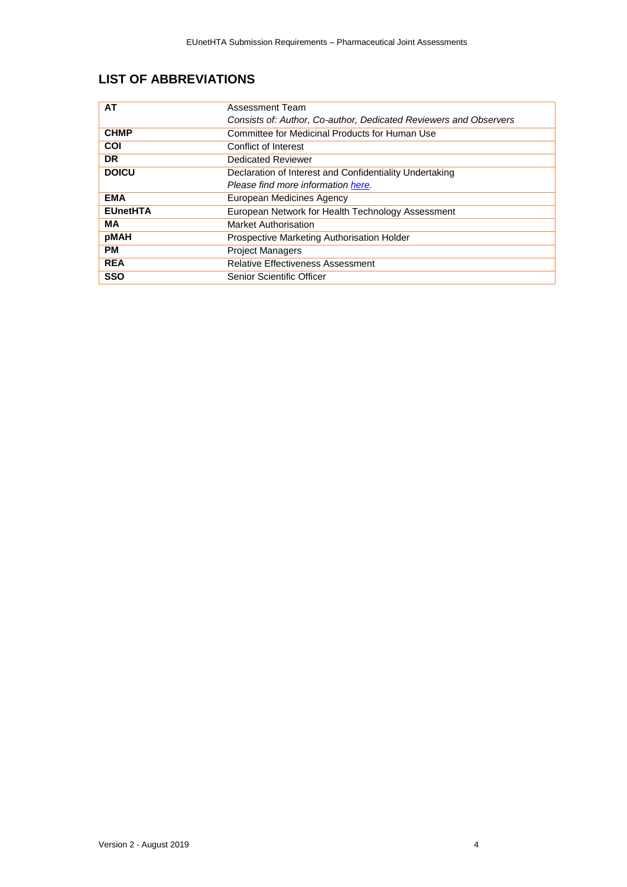# <span id="page-3-0"></span>**LIST OF ABBREVIATIONS**

| AT              | <b>Assessment Team</b>                                            |  |  |
|-----------------|-------------------------------------------------------------------|--|--|
|                 | Consists of: Author, Co-author, Dedicated Reviewers and Observers |  |  |
| <b>CHMP</b>     | Committee for Medicinal Products for Human Use                    |  |  |
| <b>COI</b>      | <b>Conflict of Interest</b>                                       |  |  |
| <b>DR</b>       | <b>Dedicated Reviewer</b>                                         |  |  |
| <b>DOICU</b>    | Declaration of Interest and Confidentiality Undertaking           |  |  |
|                 | Please find more information here.                                |  |  |
| <b>EMA</b>      | European Medicines Agency                                         |  |  |
| <b>EUnetHTA</b> | European Network for Health Technology Assessment                 |  |  |
| МA              | <b>Market Authorisation</b>                                       |  |  |
| pMAH            | Prospective Marketing Authorisation Holder                        |  |  |
| PМ              | <b>Project Managers</b>                                           |  |  |
| <b>REA</b>      | <b>Relative Effectiveness Assessment</b>                          |  |  |
| <b>SSO</b>      | Senior Scientific Officer                                         |  |  |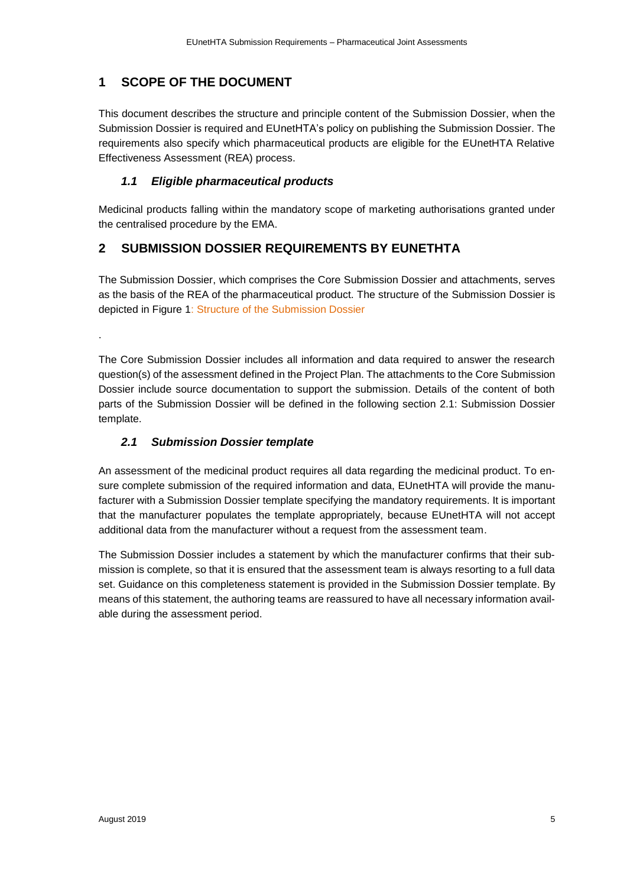## <span id="page-4-0"></span>**1 SCOPE OF THE DOCUMENT**

This document describes the structure and principle content of the Submission Dossier, when the Submission Dossier is required and EUnetHTA's policy on publishing the Submission Dossier. The requirements also specify which pharmaceutical products are eligible for the EUnetHTA Relative Effectiveness Assessment (REA) process.

#### <span id="page-4-1"></span>*1.1 Eligible pharmaceutical products*

Medicinal products falling within the mandatory scope of marketing authorisations granted under the centralised procedure by the EMA.

## <span id="page-4-2"></span>**2 SUBMISSION DOSSIER REQUIREMENTS BY EUNETHTA**

The Submission Dossier, which comprises the Core Submission Dossier and attachments, serves as the basis of the REA of the pharmaceutical product. The structure of the Submission Dossier is depicted in [Figure 1: Structure of the Submission Dossier](#page-5-0)

The Core Submission Dossier includes all information and data required to answer the research question(s) of the assessment defined in the Project Plan. The attachments to the Core Submission Dossier include source documentation to support the submission. Details of the content of both parts of the Submission Dossier will be defined in the following section [2.1:](#page-4-3) Submission Dossier template.

#### <span id="page-4-3"></span>*2.1 Submission Dossier template*

An assessment of the medicinal product requires all data regarding the medicinal product. To ensure complete submission of the required information and data, EUnetHTA will provide the manufacturer with a Submission Dossier template specifying the mandatory requirements. It is important that the manufacturer populates the template appropriately, because EUnetHTA will not accept additional data from the manufacturer without a request from the assessment team.

The Submission Dossier includes a statement by which the manufacturer confirms that their submission is complete, so that it is ensured that the assessment team is always resorting to a full data set. Guidance on this completeness statement is provided in the Submission Dossier template. By means of this statement, the authoring teams are reassured to have all necessary information available during the assessment period.

.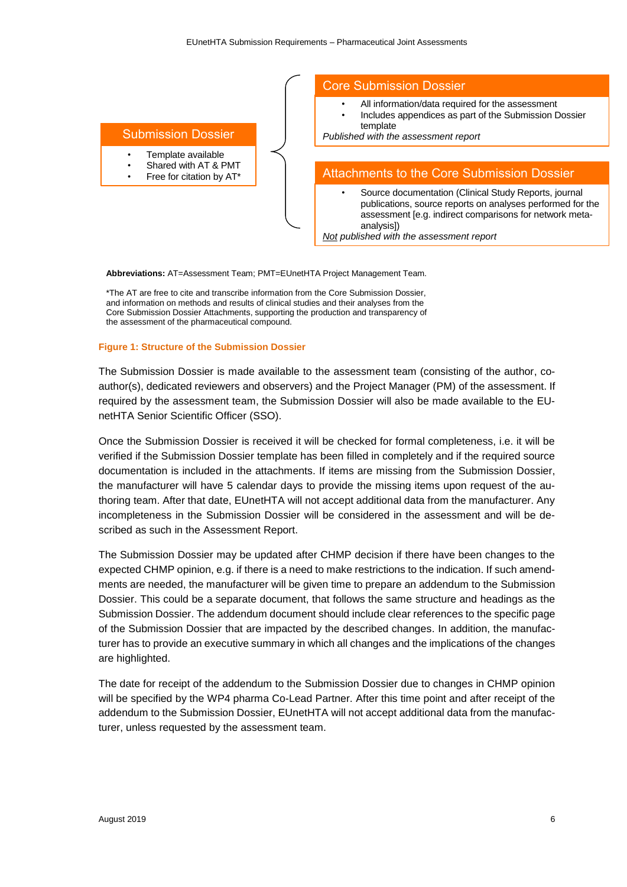

**Abbreviations:** AT=Assessment Team; PMT=EUnetHTA Project Management Team.

\*The AT are free to cite and transcribe information from the Core Submission Dossier, and information on methods and results of clinical studies and their analyses from the Core Submission Dossier Attachments, supporting the production and transparency of the assessment of the pharmaceutical compound.

#### <span id="page-5-0"></span>**Figure 1: Structure of the Submission Dossier**

The Submission Dossier is made available to the assessment team (consisting of the author, coauthor(s), dedicated reviewers and observers) and the Project Manager (PM) of the assessment. If required by the assessment team, the Submission Dossier will also be made available to the EUnetHTA Senior Scientific Officer (SSO).

Once the Submission Dossier is received it will be checked for formal completeness, i.e. it will be verified if the Submission Dossier template has been filled in completely and if the required source documentation is included in the attachments. If items are missing from the Submission Dossier, the manufacturer will have 5 calendar days to provide the missing items upon request of the authoring team. After that date, EUnetHTA will not accept additional data from the manufacturer. Any incompleteness in the Submission Dossier will be considered in the assessment and will be described as such in the Assessment Report.

The Submission Dossier may be updated after CHMP decision if there have been changes to the expected CHMP opinion, e.g. if there is a need to make restrictions to the indication. If such amendments are needed, the manufacturer will be given time to prepare an addendum to the Submission Dossier. This could be a separate document, that follows the same structure and headings as the Submission Dossier. The addendum document should include clear references to the specific page of the Submission Dossier that are impacted by the described changes. In addition, the manufacturer has to provide an executive summary in which all changes and the implications of the changes are highlighted.

The date for receipt of the addendum to the Submission Dossier due to changes in CHMP opinion will be specified by the WP4 pharma Co-Lead Partner. After this time point and after receipt of the addendum to the Submission Dossier, EUnetHTA will not accept additional data from the manufacturer, unless requested by the assessment team.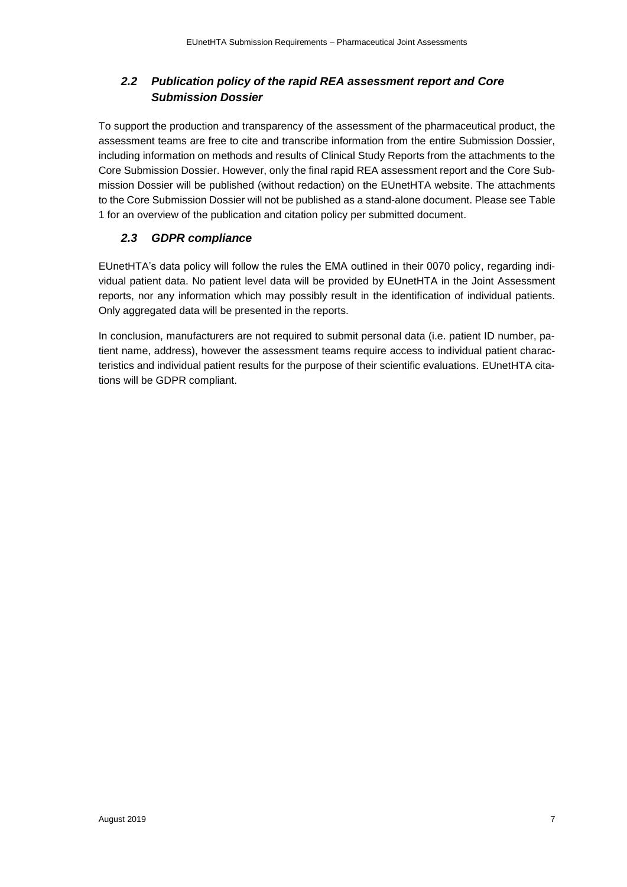## <span id="page-6-0"></span>*2.2 Publication policy of the rapid REA assessment report and Core Submission Dossier*

To support the production and transparency of the assessment of the pharmaceutical product, the assessment teams are free to cite and transcribe information from the entire Submission Dossier, including information on methods and results of Clinical Study Reports from the attachments to the Core Submission Dossier. However, only the final rapid REA assessment report and the Core Submission Dossier will be published (without redaction) on the EUnetHTA website. The attachments to the Core Submission Dossier will not be published as a stand-alone document. Please se[e Table](#page-7-1)  [1](#page-7-1) for an overview of the publication and citation policy per submitted document.

## <span id="page-6-1"></span>*2.3 GDPR compliance*

EUnetHTA's data policy will follow the rules the EMA outlined in their 0070 policy, regarding individual patient data. No patient level data will be provided by EUnetHTA in the Joint Assessment reports, nor any information which may possibly result in the identification of individual patients. Only aggregated data will be presented in the reports.

In conclusion, manufacturers are not required to submit personal data (i.e. patient ID number, patient name, address), however the assessment teams require access to individual patient characteristics and individual patient results for the purpose of their scientific evaluations. EUnetHTA citations will be GDPR compliant.